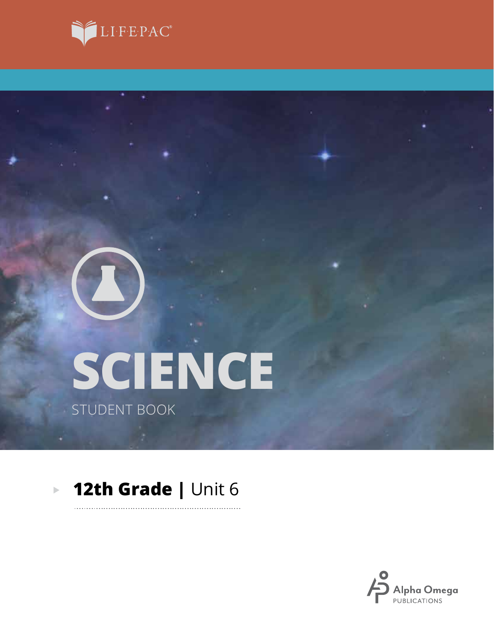

# **SCIENCE** STUDENT BOOK

### **12th Grade |** Unit 6 $\mathbf{p}$

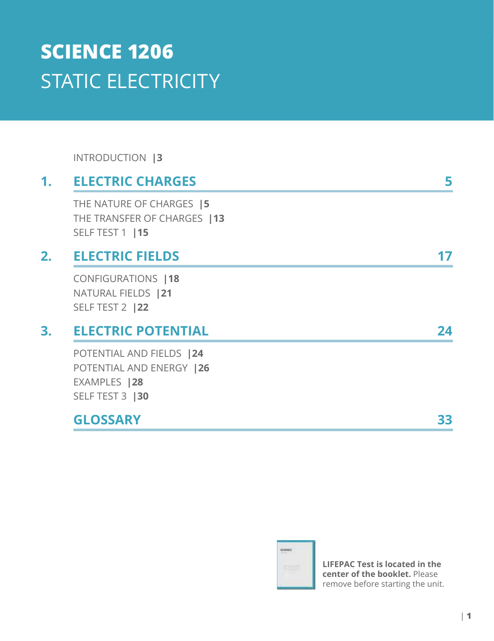# **SCIENCE 1206** STATIC ELECTRICITY

INTRODUCTION **|3**

### **1. ELECTRIC CHARGES 5** THE NATURE OF CHARGES **|5** THE TRANSFER OF CHARGES **|13** SELF TEST 1 **|15 2. ELECTRIC FIELDS 17** CONFIGURATIONS **|18** NATURAL FIELDS **|21** SELF TEST 2 **|22 3. ELECTRIC POTENTIAL 24** POTENTIAL AND FIELDS **|24** POTENTIAL AND ENERGY **|26** EXAMPLES **|28** SELF TEST 3 **|30 GLOSSARY 33**



**LIFEPAC Test is located in the center of the booklet.** Please remove before starting the unit.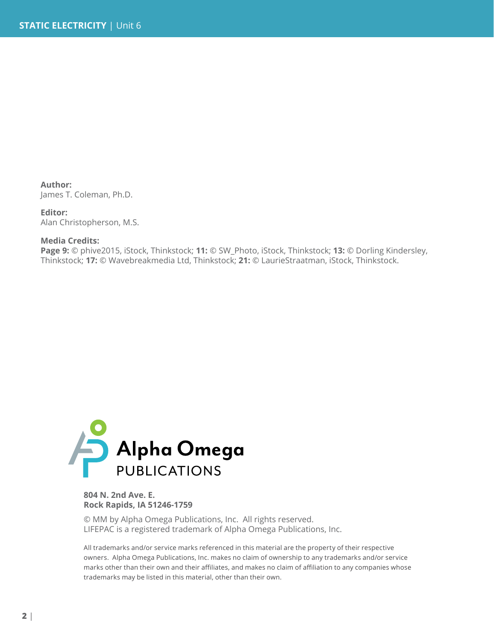**Author:** James T. Coleman, Ph.D.

**Editor:** Alan Christopherson, M.S.

#### **Media Credits:**

**Page 9:** © phive2015, iStock, Thinkstock; **11:** © SW\_Photo, iStock, Thinkstock; **13:** © Dorling Kindersley, Thinkstock; **17:** © Wavebreakmedia Ltd, Thinkstock; **21:** © LaurieStraatman, iStock, Thinkstock.



**804 N. 2nd Ave. E. Rock Rapids, IA 51246-1759**

© MM by Alpha Omega Publications, Inc. All rights reserved. LIFEPAC is a registered trademark of Alpha Omega Publications, Inc.

All trademarks and/or service marks referenced in this material are the property of their respective owners. Alpha Omega Publications, Inc. makes no claim of ownership to any trademarks and/or service marks other than their own and their affiliates, and makes no claim of affiliation to any companies whose trademarks may be listed in this material, other than their own.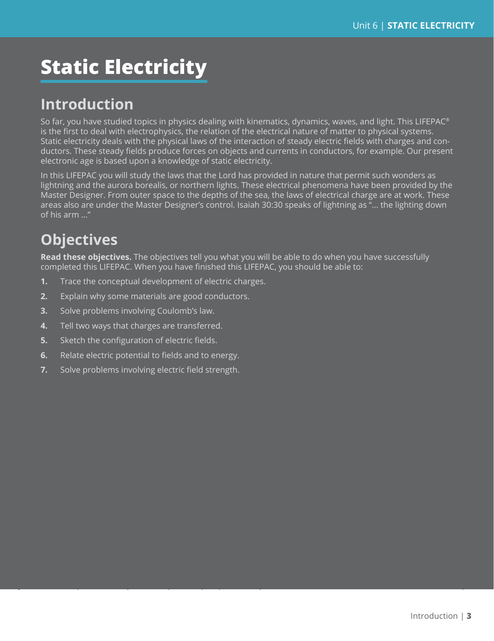# **Static Electricity**

### **Introduction**

So far, you have studied topics in physics dealing with kinematics, dynamics, waves, and light. This LIFEPAC® is the first to deal with electrophysics, the relation of the electrical nature of matter to physical systems. Static electricity deals with the physical laws of the interaction of steady electric fields with charges and conductors. These steady fields produce forces on objects and currents in conductors, for example. Our present electronic age is based upon a knowledge of static electricity.

In this LIFEPAC you will study the laws that the Lord has provided in nature that permit such wonders as lightning and the aurora borealis, or northern lights. These electrical phenomena have been provided by the Master Designer. From outer space to the depths of the sea, the laws of electrical charge are at work. These areas also are under the Master Designer's control. Isaiah 30:30 speaks of lightning as "... the lighting down of his arm …"

## **Objectives**

**Read these objectives.** The objectives tell you what you will be able to do when you have successfully completed this LIFEPAC. When you have finished this LIFEPAC, you should be able to:

- **1.** Trace the conceptual development of electric charges.
- **2.** Explain why some materials are good conductors.
- **3.** Solve problems involving Coulomb's law.
- **4.** Tell two ways that charges are transferred.
- **5.** Sketch the configuration of electric fields.
- **6.** Relate electric potential to fields and to energy.
- **7.** Solve problems involving electric field strength.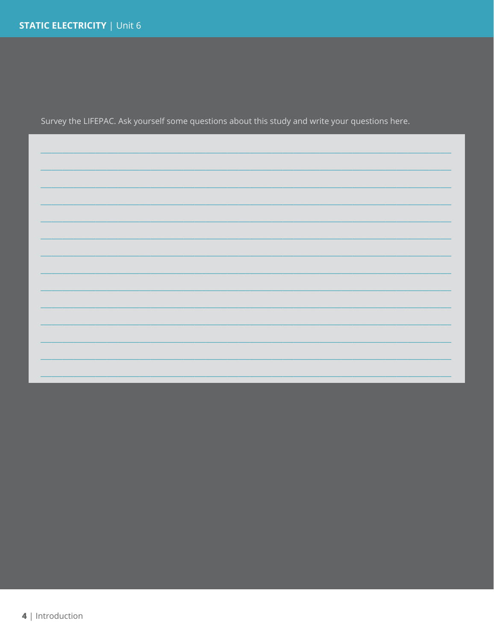Survey the LIFEPAC. Ask yourself some questions about this study and write your questions here.

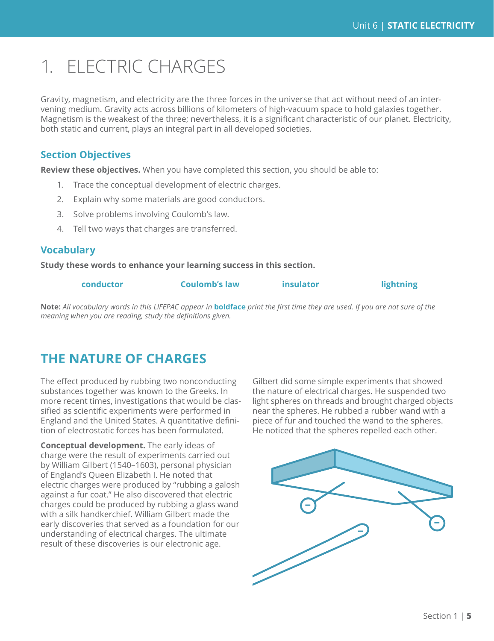# 1. ELECTRIC CHARGES

Gravity, magnetism, and electricity are the three forces in the universe that act without need of an intervening medium. Gravity acts across billions of kilometers of high-vacuum space to hold galaxies together. Magnetism is the weakest of the three; nevertheless, it is a significant characteristic of our planet. Electricity, both static and current, plays an integral part in all developed societies.

### **Section Objectives**

**Review these objectives.** When you have completed this section, you should be able to:

- 1. Trace the conceptual development of electric charges.
- 2. Explain why some materials are good conductors.
- 3. Solve problems involving Coulomb's law.
- 4. Tell two ways that charges are transferred.

### **Vocabulary**

**Study these words to enhance your learning success in this section.**

**conductor Coulomb's law insulator lightning**

**Note:** *All vocabulary words in this LIFEPAC appear in* **boldface** *print the first time they are used. If you are not sure of the meaning when you are reading, study the definitions given.*

### **THE NATURE OF CHARGES**

The effect produced by rubbing two nonconducting substances together was known to the Greeks. In more recent times, investigations that would be classified as scientific experiments were performed in England and the United States. A quantitative definition of electrostatic forces has been formulated.

**Conceptual development.** The early ideas of charge were the result of experiments carried out by William Gilbert (1540–1603), personal physician of England's Queen Elizabeth I. He noted that electric charges were produced by "rubbing a galosh against a fur coat." He also discovered that electric charges could be produced by rubbing a glass wand with a silk handkerchief. William Gilbert made the early discoveries that served as a foundation for our understanding of electrical charges. The ultimate result of these discoveries is our electronic age.

Gilbert did some simple experiments that showed the nature of electrical charges. He suspended two light spheres on threads and brought charged objects near the spheres. He rubbed a rubber wand with a piece of fur and touched the wand to the spheres. He noticed that the spheres repelled each other.

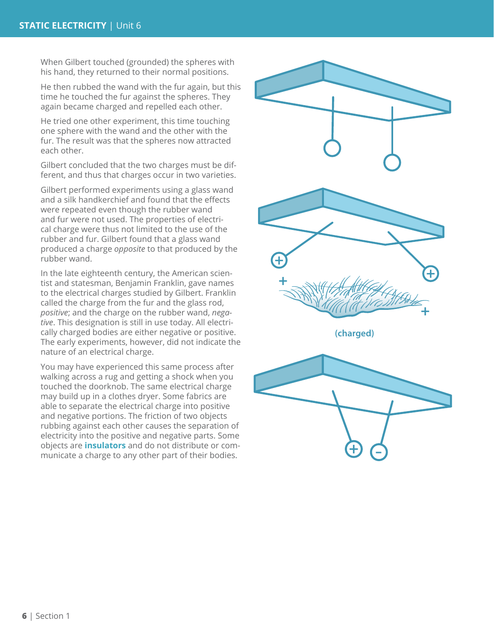When Gilbert touched (grounded) the spheres with his hand, they returned to their normal positions.

He then rubbed the wand with the fur again, but this time he touched the fur against the spheres. They again became charged and repelled each other.

He tried one other experiment, this time touching one sphere with the wand and the other with the fur. The result was that the spheres now attracted each other.

Gilbert concluded that the two charges must be different, and thus that charges occur in two varieties.

Gilbert performed experiments using a glass wand and a silk handkerchief and found that the effects were repeated even though the rubber wand and fur were not used. The properties of electri cal charge were thus not limited to the use of the rubber and fur. Gilbert found that a glass wand produced a charge *opposite* to that produced by the rubber wand.

In the late eighteenth century, the American scien tist and statesman, Benjamin Franklin, gave names to the electrical charges studied by Gilbert. Franklin called the charge from the fur and the glass rod, *positive*; and the charge on the rubber wand, *nega tive*. This designation is still in use today. All electri cally charged bodies are either negative or positive. The early experiments, however, did not indicate the nature of an electrical charge.

You may have experienced this same process after walking across a rug and getting a shock when you touched the doorknob. The same electrical charge may build up in a clothes dryer. Some fabrics are able to separate the electrical charge into positive and negative portions. The friction of two objects rubbing against each other causes the separation of electricity into the positive and negative parts. Some objects are **insulators** and do not distribute or com municate a charge to any other part of their bodies.

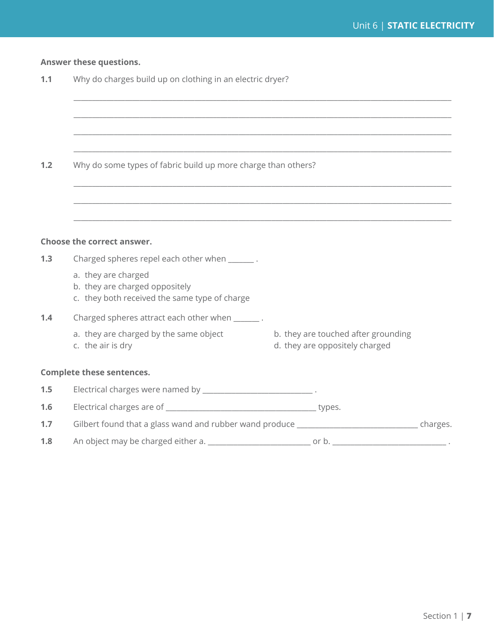### **Answer these questions.**

**1.1** Why do charges build up on clothing in an electric dryer?

| 1.2 | Why do some types of fabric build up more charge than others?                                                                                                       |                                                                       |  |  |  |
|-----|---------------------------------------------------------------------------------------------------------------------------------------------------------------------|-----------------------------------------------------------------------|--|--|--|
|     | ,我们也不能在这里的时候,我们也不能会在这里,我们也不能会在这里,我们也不能会在这里,我们也不能会在这里的时候,我们也不能会在这里,我们也不能会不能会不能会。<br>第2012章 我们的时候,我们的时候,我们的时候,我们的时候,我们的时候,我们的时候,我们的时候,我们的时候,我们的时候,我们的时候,我们的时候,我们的时候,我 |                                                                       |  |  |  |
|     |                                                                                                                                                                     |                                                                       |  |  |  |
|     | Choose the correct answer.                                                                                                                                          |                                                                       |  |  |  |
| 1.3 | Charged spheres repel each other when _______.                                                                                                                      |                                                                       |  |  |  |
|     |                                                                                                                                                                     |                                                                       |  |  |  |
|     | a. they are charged<br>b. they are charged oppositely<br>c. they both received the same type of charge                                                              |                                                                       |  |  |  |
| 1.4 | Charged spheres attract each other when _______.                                                                                                                    |                                                                       |  |  |  |
|     | a. they are charged by the same object<br>c. the air is dry                                                                                                         | b. they are touched after grounding<br>d. they are oppositely charged |  |  |  |
|     | <b>Complete these sentences.</b>                                                                                                                                    |                                                                       |  |  |  |
| 1.5 | Electrical charges were named by _________________________________.                                                                                                 |                                                                       |  |  |  |
| 1.6 |                                                                                                                                                                     |                                                                       |  |  |  |
| 1.7 |                                                                                                                                                                     |                                                                       |  |  |  |

**1.8** An object may be charged either a. \_\_\_\_\_\_\_\_\_\_\_\_\_\_\_\_\_\_\_\_\_\_\_\_\_\_\_\_ or b. \_\_\_\_\_\_\_\_\_\_\_\_\_\_\_\_\_\_\_\_\_\_\_\_\_\_\_\_\_\_\_ .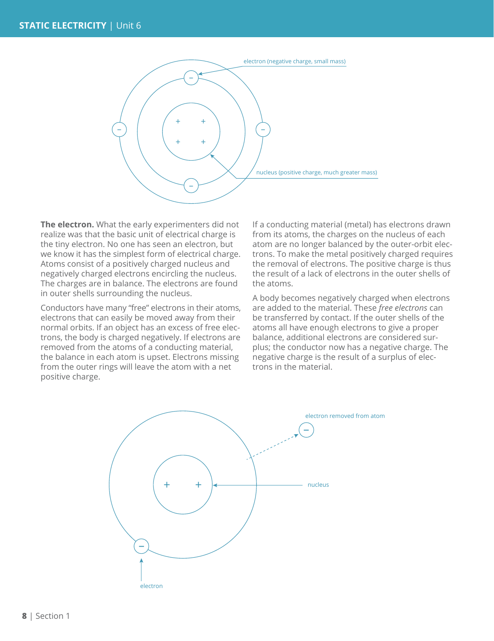

**The electron.** What the early experimenters did not realize was that the basic unit of electrical charge is the tiny electron. No one has seen an electron, but we know it has the simplest form of electrical charge. Atoms consist of a positively charged nucleus and negatively charged electrons encircling the nucleus. The charges are in balance. The electrons are found in outer shells surrounding the nucleus.

Conductors have many "free" electrons in their atoms, electrons that can easily be moved away from their normal orbits. If an object has an excess of free electrons, the body is charged negatively. If electrons are removed from the atoms of a conducting material, the balance in each atom is upset. Electrons missing from the outer rings will leave the atom with a net positive charge.

If a conducting material (metal) has electrons drawn from its atoms, the charges on the nucleus of each atom are no longer balanced by the outer-orbit electrons. To make the metal positively charged requires the removal of electrons. The positive charge is thus the result of a lack of electrons in the outer shells of the atoms.

A body becomes negatively charged when electrons are added to the material. These *free electrons* can be transferred by contact. If the outer shells of the atoms all have enough electrons to give a proper balance, additional electrons are considered surplus; the conductor now has a negative charge. The negative charge is the result of a surplus of electrons in the material.

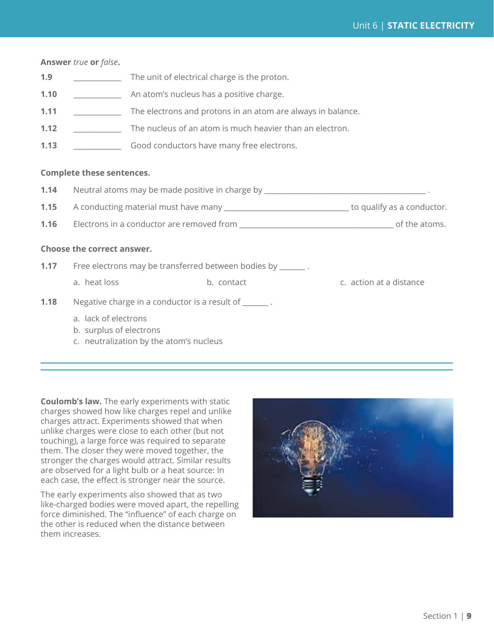#### **Answer** *true* **or** *false***.**

| 1.9  | The unit of electrical charge is the proton.                |
|------|-------------------------------------------------------------|
| 1.10 | An atom's nucleus has a positive charge.                    |
| 1.11 | The electrons and protons in an atom are always in balance. |
| 1.12 | The nucleus of an atom is much heavier than an electron.    |
| 1.13 | Good conductors have many free electrons.                   |
|      |                                                             |

#### **Complete these sentences.**

| 1.14                       | Neutral atoms may be made positive in charge by _________________________________.         |            |                         |  |  |  |
|----------------------------|--------------------------------------------------------------------------------------------|------------|-------------------------|--|--|--|
| 1.15                       |                                                                                            |            |                         |  |  |  |
|                            |                                                                                            |            |                         |  |  |  |
| Choose the correct answer. |                                                                                            |            |                         |  |  |  |
|                            | 1.17 Free electrons may be transferred between bodies by _______.                          |            |                         |  |  |  |
|                            | a. heat loss                                                                               | b. contact | c. action at a distance |  |  |  |
| 1.18                       | Negative charge in a conductor is a result of _______.                                     |            |                         |  |  |  |
|                            | a. lack of electrons<br>b. surplus of electrons<br>c. neutralization by the atom's nucleus |            |                         |  |  |  |

**Coulomb's law.** The early experiments with static charges showed how like charges repel and unlike charges attract. Experiments showed that when unlike charges were close to each other (but not touching), a large force was required to separate them. The closer they were moved together, the stronger the charges would attract. Similar results are observed for a light bulb or a heat source: In each case, the effect is stronger near the source.

The early experiments also showed that as two like-charged bodies were moved apart, the repelling force diminished. The "influence" of each charge on the other is reduced when the distance between them increases.